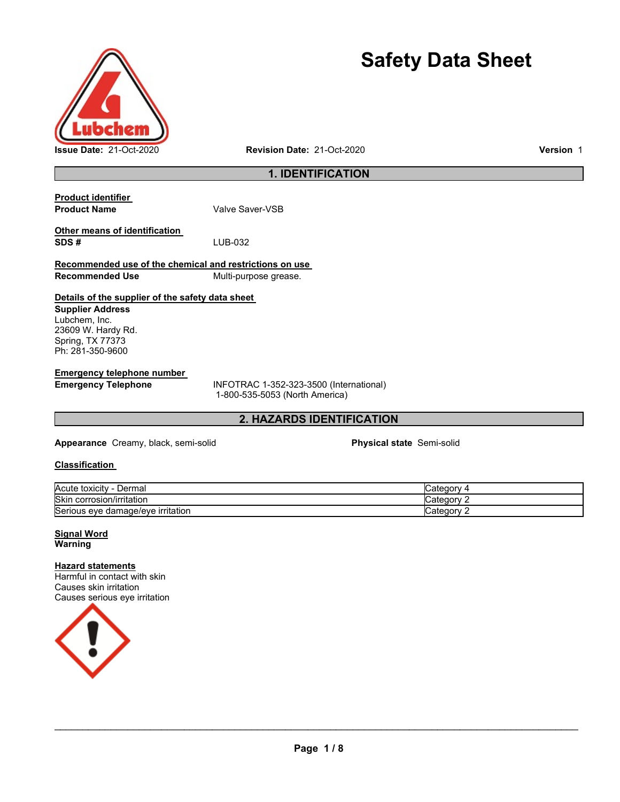

# **Safety Data Sheet**

### **1. IDENTIFICATION**

| <b>Product identifier</b>                               |                       |
|---------------------------------------------------------|-----------------------|
| <b>Product Name</b>                                     | Valve Saver-VSB       |
|                                                         |                       |
| Other means of identification                           |                       |
| SDS#                                                    | LUB-032               |
| Recommended use of the chemical and restrictions on use |                       |
| <b>Recommended Use</b>                                  | Multi-purpose grease. |
|                                                         |                       |

### **Details of the supplier of the safety data sheet**

**Supplier Address** Lubchem, Inc. 23609 W. Hardy Rd. Spring, TX 77373 Ph: 281-350-9600

**Emergency telephone number** 

**Emergency Telephone** INFOTRAC 1-352-323-3500 (International) 1-800-535-5053 (North America)

### **2. HAZARDS IDENTIFICATION**

**Appearance** Creamy, black, semi-solid **Physical state** Semi-solid

#### **Classification**

| Acute toxicity<br>∟ermal<br>-            | ∵ateqorvٽ<br>$\overline{ }$ |
|------------------------------------------|-----------------------------|
| <b>Skin</b><br>.<br>corrosion/irritation | ∵ateqorvٽ                   |
| Serious<br>; eve damaɑe/eve irritation   | ∵ategorvٽ                   |

**Signal Word Warning** 

#### **Hazard statements**

Harmful in contact with skin Causes skin irritation Causes serious eye irritation

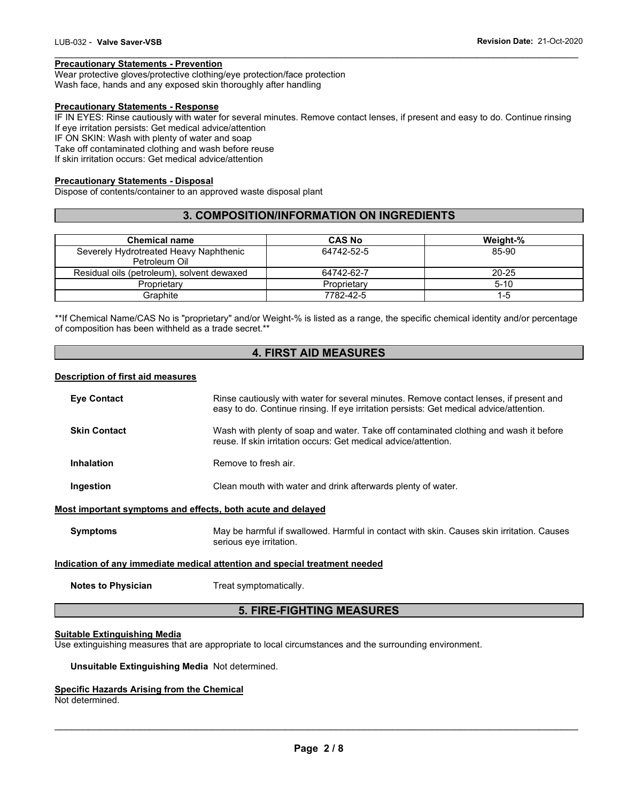#### **Precautionary Statements - Prevention**

Wear protective gloves/protective clothing/eye protection/face protection Wash face, hands and any exposed skin thoroughly after handling

#### **Precautionary Statements - Response**

IF IN EYES: Rinse cautiously with water for several minutes. Remove contact lenses, if present and easy to do. Continue rinsing If eye irritation persists: Get medical advice/attention IF ON SKIN: Wash with plenty of water and soap

\_\_\_\_\_\_\_\_\_\_\_\_\_\_\_\_\_\_\_\_\_\_\_\_\_\_\_\_\_\_\_\_\_\_\_\_\_\_\_\_\_\_\_\_\_\_\_\_\_\_\_\_\_\_\_\_\_\_\_\_\_\_\_\_\_\_\_\_\_\_\_\_\_\_\_\_\_\_\_\_\_\_\_\_\_\_\_\_\_\_\_\_\_

Take off contaminated clothing and wash before reuse

If skin irritation occurs: Get medical advice/attention

#### **Precautionary Statements - Disposal**

Dispose of contents/container to an approved waste disposal plant

#### **3. COMPOSITION/INFORMATION ON INGREDIENTS**

| <b>Chemical name</b>                       | <b>CAS No</b> | Weight-% |
|--------------------------------------------|---------------|----------|
| Severely Hydrotreated Heavy Naphthenic     | 64742-52-5    | 85-90    |
| Petroleum Oil                              |               |          |
| Residual oils (petroleum), solvent dewaxed | 64742-62-7    | 20-25    |
| Proprietary                                | Proprietary   | $5 - 10$ |
| Graphite                                   | 7782-42-5     | $1-5$    |

\*\*If Chemical Name/CAS No is "proprietary" and/or Weight-% is listed as a range, the specific chemical identity and/or percentage of composition has been withheld as a trade secret.\*\*

### **4. FIRST AID MEASURES**

#### **Description of first aid measures**

| <b>Eye Contact</b>                                                         | Rinse cautiously with water for several minutes. Remove contact lenses, if present and<br>easy to do. Continue rinsing. If eye irritation persists: Get medical advice/attention. |  |
|----------------------------------------------------------------------------|-----------------------------------------------------------------------------------------------------------------------------------------------------------------------------------|--|
| <b>Skin Contact</b>                                                        | Wash with plenty of soap and water. Take off contaminated clothing and wash it before<br>reuse. If skin irritation occurs: Get medical advice/attention.                          |  |
| <b>Inhalation</b>                                                          | Remove to fresh air.                                                                                                                                                              |  |
| Ingestion                                                                  | Clean mouth with water and drink afterwards plenty of water.                                                                                                                      |  |
| Most important symptoms and effects, both acute and delayed                |                                                                                                                                                                                   |  |
| <b>Symptoms</b>                                                            | May be harmful if swallowed. Harmful in contact with skin. Causes skin irritation. Causes<br>serious eye irritation.                                                              |  |
| Indication of any immediate medical attention and special treatment needed |                                                                                                                                                                                   |  |
| <b>Notes to Physician</b>                                                  | Treat symptomatically.                                                                                                                                                            |  |

### **5. FIRE-FIGHTING MEASURES**

#### **Suitable Extinguishing Media**

Use extinguishing measures that are appropriate to local circumstances and the surrounding environment.

#### **Unsuitable Extinguishing Media** Not determined.

#### **Specific Hazards Arising from the Chemical**

Not determined.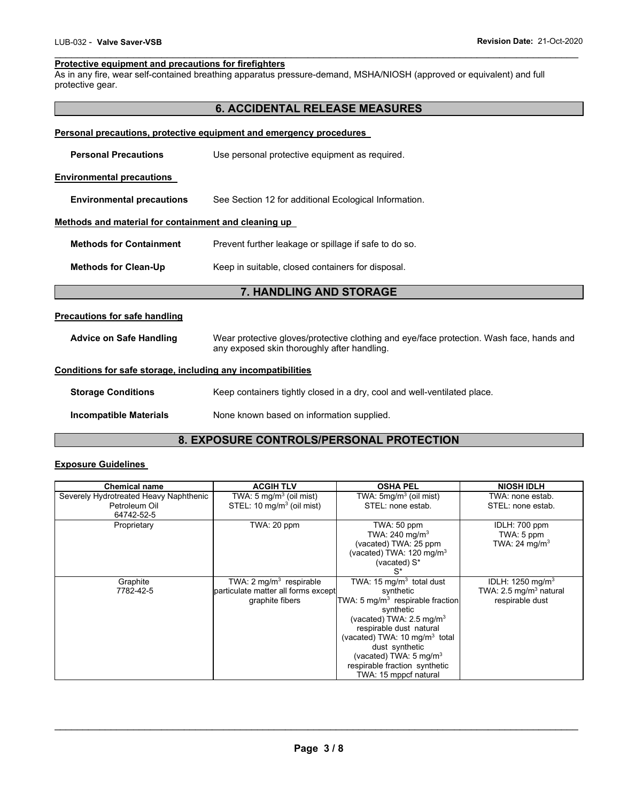#### \_\_\_\_\_\_\_\_\_\_\_\_\_\_\_\_\_\_\_\_\_\_\_\_\_\_\_\_\_\_\_\_\_\_\_\_\_\_\_\_\_\_\_\_\_\_\_\_\_\_\_\_\_\_\_\_\_\_\_\_\_\_\_\_\_\_\_\_\_\_\_\_\_\_\_\_\_\_\_\_\_\_\_\_\_\_\_\_\_\_\_\_\_ **Protective equipment and precautions for firefighters**

As in any fire, wear self-contained breathing apparatus pressure-demand, MSHA/NIOSH (approved or equivalent) and full protective gear.

### **6. ACCIDENTAL RELEASE MEASURES**

| Personal precautions, protective equipment and emergency procedures |                                                                                                                                         |  |  |
|---------------------------------------------------------------------|-----------------------------------------------------------------------------------------------------------------------------------------|--|--|
| <b>Personal Precautions</b>                                         | Use personal protective equipment as required.                                                                                          |  |  |
| <b>Environmental precautions</b>                                    |                                                                                                                                         |  |  |
| <b>Environmental precautions</b>                                    | See Section 12 for additional Ecological Information.                                                                                   |  |  |
| Methods and material for containment and cleaning up                |                                                                                                                                         |  |  |
| <b>Methods for Containment</b>                                      | Prevent further leakage or spillage if safe to do so.                                                                                   |  |  |
| <b>Methods for Clean-Up</b>                                         | Keep in suitable, closed containers for disposal.                                                                                       |  |  |
|                                                                     | 7. HANDLING AND STORAGE                                                                                                                 |  |  |
| <b>Precautions for safe handling</b>                                |                                                                                                                                         |  |  |
| <b>Advice on Safe Handling</b>                                      | Wear protective gloves/protective clothing and eye/face protection. Wash face, hands and<br>any exposed skin thoroughly after handling. |  |  |
| Conditions for safe storage, including any incompatibilities        |                                                                                                                                         |  |  |
| <b>Storage Conditions</b>                                           | Keep containers tightly closed in a dry, cool and well-ventilated place.                                                                |  |  |
| <b>Incompatible Materials</b>                                       | None known based on information supplied.                                                                                               |  |  |

### **8. EXPOSURE CONTROLS/PERSONAL PROTECTION**

### **Exposure Guidelines**

| <b>Chemical name</b>                   | <b>ACGIH TLV</b>                      | <b>OSHA PEL</b>                              | <b>NIOSH IDLH</b>                  |
|----------------------------------------|---------------------------------------|----------------------------------------------|------------------------------------|
| Severely Hydrotreated Heavy Naphthenic | TWA: $5 \text{ mg/m}^3$ (oil mist)    | TWA: $5mg/m3$ (oil mist)                     | TWA: none estab.                   |
| Petroleum Oil                          | STEL: 10 mg/m <sup>3</sup> (oil mist) | STEL: none estab.                            | STEL: none estab.                  |
| 64742-52-5                             |                                       |                                              |                                    |
| Proprietary                            | TWA: 20 ppm                           | TWA: 50 ppm                                  | IDLH: 700 ppm                      |
|                                        |                                       | TWA: 240 mg/m <sup>3</sup>                   | TWA: 5 ppm                         |
|                                        |                                       | (vacated) TWA: 25 ppm                        | TWA: 24 mg/m <sup>3</sup>          |
|                                        |                                       | (vacated) TWA: $120 \text{ mg/m}^3$          |                                    |
|                                        |                                       | (vacated) S*                                 |                                    |
|                                        |                                       | $S^*$                                        |                                    |
| Graphite                               | TWA: $2 \text{ mg/m}^3$ respirable    | TWA: 15 mg/m <sup>3</sup> total dust         | IDLH: 1250 mg/m <sup>3</sup>       |
| 7782-42-5                              | particulate matter all forms except   | synthetic                                    | TWA: 2.5 mg/m <sup>3</sup> natural |
|                                        | graphite fibers                       | TWA: 5 mg/m <sup>3</sup> respirable fraction | respirable dust                    |
|                                        |                                       | synthetic                                    |                                    |
|                                        |                                       | (vacated) TWA: 2.5 mg/m <sup>3</sup>         |                                    |
|                                        |                                       | respirable dust natural                      |                                    |
|                                        |                                       | (vacated) TWA: $10 \text{ mg/m}^3$ total     |                                    |
|                                        |                                       | dust synthetic                               |                                    |
|                                        |                                       | (vacated) TWA: $5 \text{ mg/m}^3$            |                                    |
|                                        |                                       | respirable fraction synthetic                |                                    |
|                                        |                                       | TWA: 15 mppcf natural                        |                                    |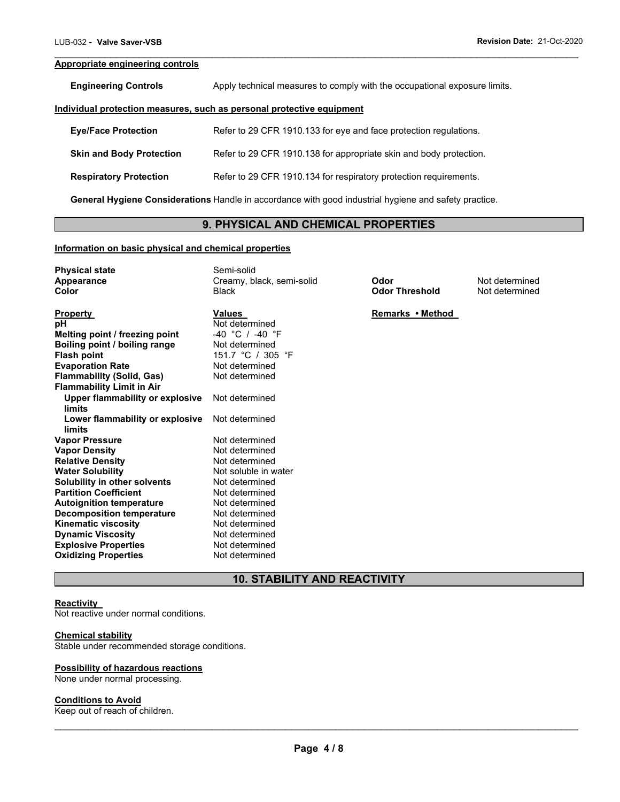#### **Appropriate engineering controls**

**Engineering Controls Apply technical measures to comply with the occupational exposure limits.** 

\_\_\_\_\_\_\_\_\_\_\_\_\_\_\_\_\_\_\_\_\_\_\_\_\_\_\_\_\_\_\_\_\_\_\_\_\_\_\_\_\_\_\_\_\_\_\_\_\_\_\_\_\_\_\_\_\_\_\_\_\_\_\_\_\_\_\_\_\_\_\_\_\_\_\_\_\_\_\_\_\_\_\_\_\_\_\_\_\_\_\_\_\_

#### **Individual protection measures, such as personal protective equipment**

| <b>Eve/Face Protection</b>      | Refer to 29 CFR 1910.133 for eye and face protection regulations.  |
|---------------------------------|--------------------------------------------------------------------|
| <b>Skin and Body Protection</b> | Refer to 29 CFR 1910.138 for appropriate skin and body protection. |
| <b>Respiratory Protection</b>   | Refer to 29 CFR 1910.134 for respiratory protection requirements.  |

**General Hygiene Considerations** Handle in accordance with good industrial hygiene and safety practice.

### **9. PHYSICAL AND CHEMICAL PROPERTIES**

#### **Information on basic physical and chemical properties**

| <b>Physical state</b><br>Appearance<br>Color | Semi-solid<br>Creamy, black, semi-solid<br><b>Black</b> | Odor<br><b>Odor Threshold</b> | Not determined<br>Not determined |
|----------------------------------------------|---------------------------------------------------------|-------------------------------|----------------------------------|
| <b>Property</b>                              | Values                                                  | Remarks • Method              |                                  |
| рH                                           | Not determined                                          |                               |                                  |
| Melting point / freezing point               | $-40$ °C / $-40$ °F                                     |                               |                                  |
| Boiling point / boiling range                | Not determined                                          |                               |                                  |
| <b>Flash point</b>                           | 151.7 °C / 305 °F                                       |                               |                                  |
| <b>Evaporation Rate</b>                      | Not determined                                          |                               |                                  |
| <b>Flammability (Solid, Gas)</b>             | Not determined                                          |                               |                                  |
| <b>Flammability Limit in Air</b>             |                                                         |                               |                                  |
| Upper flammability or explosive<br>limits    | Not determined                                          |                               |                                  |
| Lower flammability or explosive<br>limits    | Not determined                                          |                               |                                  |
| <b>Vapor Pressure</b>                        | Not determined                                          |                               |                                  |
| <b>Vapor Density</b>                         | Not determined                                          |                               |                                  |
| <b>Relative Density</b>                      | Not determined                                          |                               |                                  |
| <b>Water Solubility</b>                      | Not soluble in water                                    |                               |                                  |
| Solubility in other solvents                 | Not determined                                          |                               |                                  |
| <b>Partition Coefficient</b>                 | Not determined                                          |                               |                                  |
| <b>Autoignition temperature</b>              | Not determined                                          |                               |                                  |
| <b>Decomposition temperature</b>             | Not determined                                          |                               |                                  |
| <b>Kinematic viscosity</b>                   | Not determined                                          |                               |                                  |
| <b>Dynamic Viscosity</b>                     | Not determined                                          |                               |                                  |
| <b>Explosive Properties</b>                  | Not determined                                          |                               |                                  |
| <b>Oxidizing Properties</b>                  | Not determined                                          |                               |                                  |

### **10. STABILITY AND REACTIVITY**

#### **Reactivity**

Not reactive under normal conditions.

#### **Chemical stability**

Stable under recommended storage conditions.

#### **Possibility of hazardous reactions**

None under normal processing.

### **Conditions to Avoid**

Keep out of reach of children.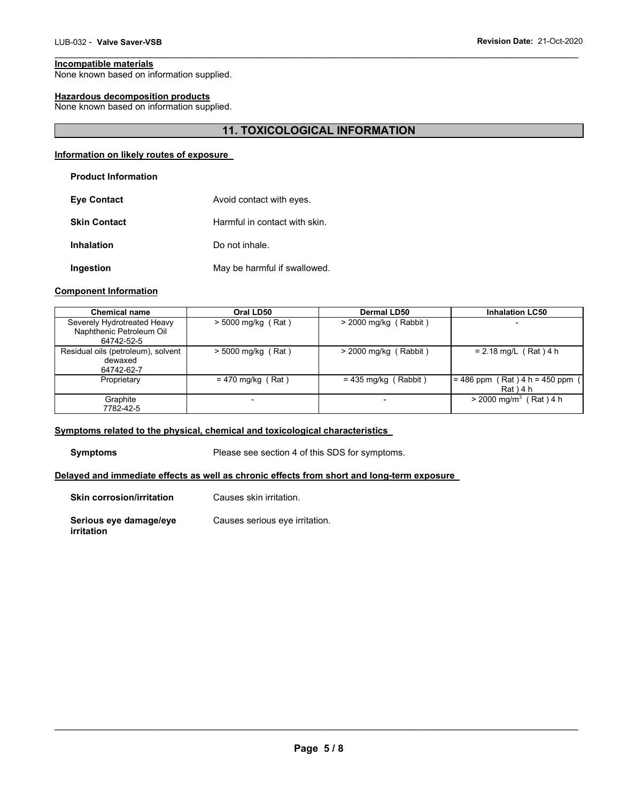### **Incompatible materials**

None known based on information supplied.

### **Hazardous decomposition products**

None known based on information supplied.

### **11. TOXICOLOGICAL INFORMATION**

\_\_\_\_\_\_\_\_\_\_\_\_\_\_\_\_\_\_\_\_\_\_\_\_\_\_\_\_\_\_\_\_\_\_\_\_\_\_\_\_\_\_\_\_\_\_\_\_\_\_\_\_\_\_\_\_\_\_\_\_\_\_\_\_\_\_\_\_\_\_\_\_\_\_\_\_\_\_\_\_\_\_\_\_\_\_\_\_\_\_\_\_\_

#### **Information on likely routes of exposure**

| <b>Eye Contact</b>  | Avoid contact with eyes.      |
|---------------------|-------------------------------|
| <b>Skin Contact</b> | Harmful in contact with skin. |
| <b>Inhalation</b>   | Do not inhale.                |
| Ingestion           | May be harmful if swallowed.  |

#### **Component Information**

| <b>Chemical name</b>                                                  | Oral LD50            | Dermal LD50             | <b>Inhalation LC50</b>                         |
|-----------------------------------------------------------------------|----------------------|-------------------------|------------------------------------------------|
| Severely Hydrotreated Heavy<br>Naphthenic Petroleum Oil<br>64742-52-5 | $>$ 5000 mg/kg (Rat) | $>$ 2000 mg/kg (Rabbit) | $\overline{\phantom{0}}$                       |
| Residual oils (petroleum), solvent<br>dewaxed<br>64742-62-7           | $>$ 5000 mg/kg (Rat) | $>$ 2000 mg/kg (Rabbit) | $= 2.18$ mg/L (Rat) 4 h                        |
| Proprietary                                                           | $= 470$ mg/kg (Rat)  | $= 435$ mg/kg (Rabbit)  | $= 486$ ppm (Rat) 4 h = 450 ppm<br>$Rat$ ) 4 h |
| Graphite<br>7782-42-5                                                 |                      |                         | $>$ 2000 mg/m <sup>3</sup> (Rat) 4 h           |

#### **Symptoms related to the physical, chemical and toxicological characteristics**

**Symptoms** Please see section 4 of this SDS for symptoms.

### **Delayed and immediate effects as well as chronic effects from short and long-term exposure**

| <b>Skin corrosion/irritation</b>     | Causes skin irritation.        |
|--------------------------------------|--------------------------------|
| Serious eye damage/eye<br>irritation | Causes serious eye irritation. |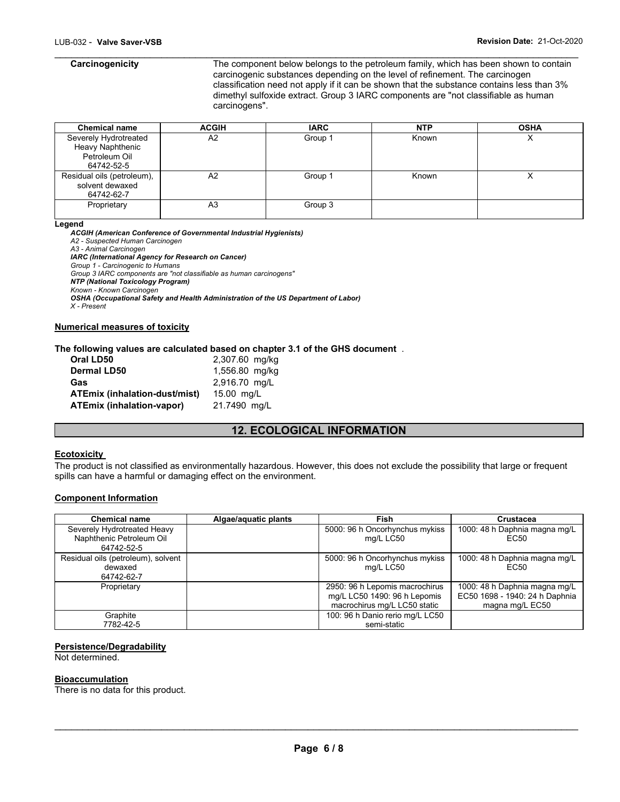\_\_\_\_\_\_\_\_\_\_\_\_\_\_\_\_\_\_\_\_\_\_\_\_\_\_\_\_\_\_\_\_\_\_\_\_\_\_\_\_\_\_\_\_\_\_\_\_\_\_\_\_\_\_\_\_\_\_\_\_\_\_\_\_\_\_\_\_\_\_\_\_\_\_\_\_\_\_\_\_\_\_\_\_\_\_\_\_\_\_\_\_\_ **Carcinogenicity** The component below belongs to the petroleum family, which has been shown to contain carcinogenic substances depending on the level of refinement. The carcinogen classification need not apply if it can be shown that the substance contains less than 3% dimethyl sulfoxide extract. Group 3 IARC components are "not classifiable as human carcinogens".

| <b>Chemical name</b>       | <b>ACGIH</b> | <b>IARC</b> | <b>NTP</b> | <b>OSHA</b> |
|----------------------------|--------------|-------------|------------|-------------|
| Severely Hydrotreated      | A2           | Group 1     | Known      |             |
| Heavy Naphthenic           |              |             |            |             |
| Petroleum Oil              |              |             |            |             |
| 64742-52-5                 |              |             |            |             |
| Residual oils (petroleum), | A2           | Group 1     | Known      |             |
| solvent dewaxed            |              |             |            |             |
| 64742-62-7                 |              |             |            |             |
| Proprietary                | A3           | Group 3     |            |             |
|                            |              |             |            |             |

#### **Legend**

*ACGIH (American Conference of Governmental Industrial Hygienists) A2 - Suspected Human Carcinogen A3 - Animal Carcinogen IARC (International Agency for Research on Cancer) Group 1 - Carcinogenic to Humans Group 3 IARC components are "not classifiable as human carcinogens" NTP (National Toxicology Program) Known - Known Carcinogen OSHA (Occupational Safety and Health Administration of the US Department of Labor) X - Present*  **Numerical measures of toxicity**

#### **The following values are calculated based on chapter 3.1 of the GHS document** .

| Oral LD50                            | 2,307.60 mg/kg |
|--------------------------------------|----------------|
| <b>Dermal LD50</b>                   | 1,556.80 mg/kg |
| Gas                                  | 2,916.70 mg/L  |
| <b>ATEmix (inhalation-dust/mist)</b> | 15.00 mg/L     |
| <b>ATEmix (inhalation-vapor)</b>     | 21.7490 mg/L   |

### **12. ECOLOGICAL INFORMATION**

### **Ecotoxicity**

The product is not classified as environmentally hazardous. However, this does not exclude the possibility that large or frequent spills can have a harmful or damaging effect on the environment.

#### **Component Information**

| <b>Chemical name</b>                                                  | Algae/aquatic plants | Fish                                                                                           | <b>Crustacea</b>                                                                   |
|-----------------------------------------------------------------------|----------------------|------------------------------------------------------------------------------------------------|------------------------------------------------------------------------------------|
| Severely Hydrotreated Heavy<br>Naphthenic Petroleum Oil<br>64742-52-5 |                      | 5000: 96 h Oncorhynchus mykiss<br>mg/L LC50                                                    | 1000: 48 h Daphnia magna mg/L<br>EC <sub>50</sub>                                  |
| Residual oils (petroleum), solvent<br>dewaxed<br>64742-62-7           |                      | 5000: 96 h Oncorhynchus mykiss<br>mg/L LC50                                                    | 1000: 48 h Daphnia magna mg/L<br>EC <sub>50</sub>                                  |
| Proprietary                                                           |                      | 2950: 96 h Lepomis macrochirus<br>mg/L LC50 1490: 96 h Lepomis<br>macrochirus mg/L LC50 static | 1000: 48 h Daphnia magna mg/L<br>EC50 1698 - 1940: 24 h Daphnia<br>magna mg/L EC50 |
| Graphite<br>7782-42-5                                                 |                      | 100: 96 h Danio rerio mg/L LC50<br>semi-static                                                 |                                                                                    |

#### **Persistence/Degradability**

Not determined.

#### **Bioaccumulation**

There is no data for this product.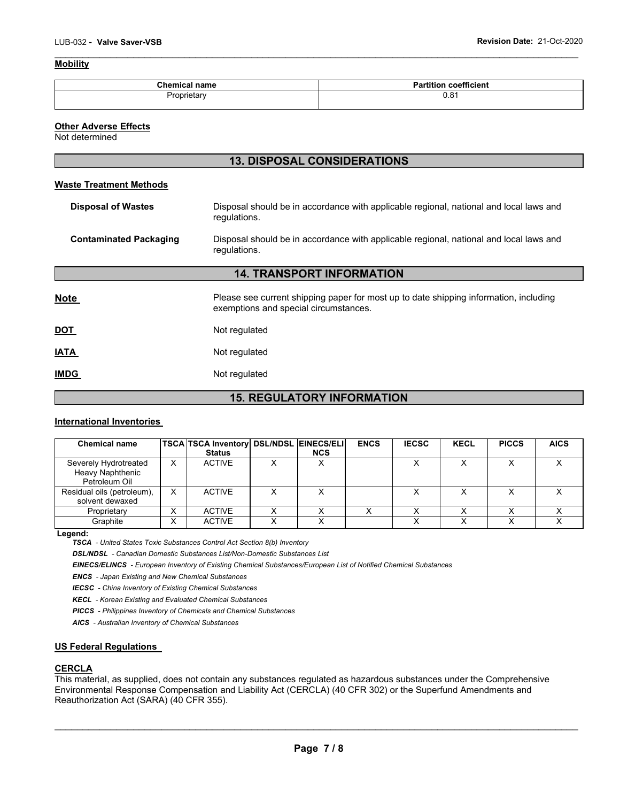#### **Mobility**

| <b>Chemical name</b> | coefficient<br>.<br>artitior' |
|----------------------|-------------------------------|
| Proprietary          | 0.81                          |

\_\_\_\_\_\_\_\_\_\_\_\_\_\_\_\_\_\_\_\_\_\_\_\_\_\_\_\_\_\_\_\_\_\_\_\_\_\_\_\_\_\_\_\_\_\_\_\_\_\_\_\_\_\_\_\_\_\_\_\_\_\_\_\_\_\_\_\_\_\_\_\_\_\_\_\_\_\_\_\_\_\_\_\_\_\_\_\_\_\_\_\_\_

#### **Other Adverse Effects**

Not determined

L

### **13. DISPOSAL CONSIDERATIONS**

#### **Waste Treatment Methods**

| Disposal should be in accordance with applicable regional, national and local laws and<br><b>Disposal of Wastes</b><br>regulations.           |  |
|-----------------------------------------------------------------------------------------------------------------------------------------------|--|
| <b>Contaminated Packaging</b><br>Disposal should be in accordance with applicable regional, national and local laws and<br>regulations.       |  |
| <b>14. TRANSPORT INFORMATION</b>                                                                                                              |  |
| <b>Note</b><br>Please see current shipping paper for most up to date shipping information, including<br>exemptions and special circumstances. |  |
| DOT<br>Not regulated                                                                                                                          |  |
| <b>ATAI</b><br>Not regulated                                                                                                                  |  |
| <b>IMDG</b><br>Not regulated                                                                                                                  |  |

## **15. REGULATORY INFORMATION**

#### **International Inventories**

| <b>Chemical name</b>                                       |        | TSCA TSCA Inventory   DSL/NDSL   EINECS/ELI  <br><b>Status</b> | <b>NCS</b> | <b>ENCS</b> | <b>IECSC</b> | <b>KECL</b> | <b>PICCS</b> | <b>AICS</b> |
|------------------------------------------------------------|--------|----------------------------------------------------------------|------------|-------------|--------------|-------------|--------------|-------------|
| Severely Hydrotreated<br>Heavy Naphthenic<br>Petroleum Oil | x      | <b>ACTIVE</b>                                                  |            |             |              |             |              |             |
| Residual oils (petroleum),<br>solvent dewaxed              | X      | <b>ACTIVE</b>                                                  |            |             |              |             |              |             |
| Proprietary                                                | v<br>⌒ | <b>ACTIVE</b>                                                  |            |             |              |             |              |             |
| Graphite                                                   |        | <b>ACTIVE</b>                                                  |            |             |              |             |              |             |

**Legend:** 

*TSCA - United States Toxic Substances Control Act Section 8(b) Inventory* 

*DSL/NDSL - Canadian Domestic Substances List/Non-Domestic Substances List* 

*EINECS/ELINCS - European Inventory of Existing Chemical Substances/European List of Notified Chemical Substances* 

*ENCS - Japan Existing and New Chemical Substances* 

*IECSC - China Inventory of Existing Chemical Substances* 

*KECL - Korean Existing and Evaluated Chemical Substances* 

*PICCS - Philippines Inventory of Chemicals and Chemical Substances* 

*AICS - Australian Inventory of Chemical Substances* 

#### **US Federal Regulations**

#### **CERCLA**

This material, as supplied, does not contain any substances regulated as hazardous substances under the Comprehensive Environmental Response Compensation and Liability Act (CERCLA) (40 CFR 302) or the Superfund Amendments and Reauthorization Act (SARA) (40 CFR 355).